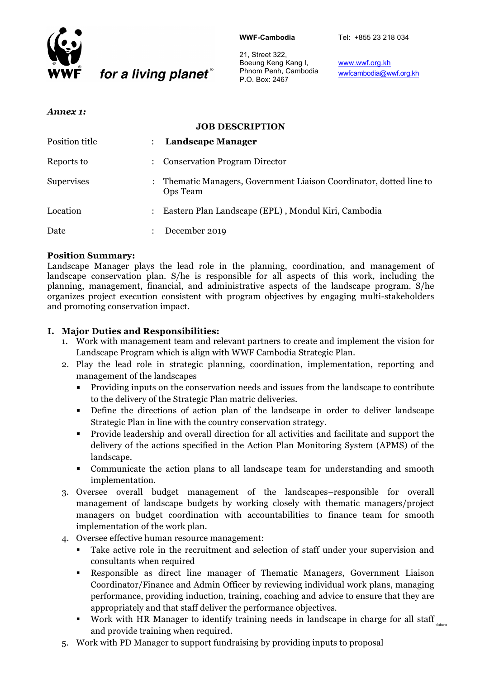

#### **WWF-Cambodia**

Tel: +855 23 218 034

21, Street 322, Boeung Keng Kang I, Phnom Penh, Cambodia P.O. Box: 2467

www.wwf.org.kh wwfcambodia@wwf.org.kh

#### *Annex 1:*

### **JOB DESCRIPTION**

| Position title    | $\ddot{\cdot}$       | <b>Landscape Manager</b>                                                        |
|-------------------|----------------------|---------------------------------------------------------------------------------|
| Reports to        | $\ddot{\phantom{a}}$ | <b>Conservation Program Director</b>                                            |
| <b>Supervises</b> |                      | : Thematic Managers, Government Liaison Coordinator, dotted line to<br>Ops Team |
| Location          | $\ddot{\cdot}$       | Eastern Plan Landscape (EPL), Mondul Kiri, Cambodia                             |
| Date              | $\ddot{\phantom{a}}$ | December 2019                                                                   |

#### **Position Summary:**

Landscape Manager plays the lead role in the planning, coordination, and management of landscape conservation plan. S/he is responsible for all aspects of this work, including the planning, management, financial, and administrative aspects of the landscape program. S/he organizes project execution consistent with program objectives by engaging multi-stakeholders and promoting conservation impact.

#### **I. Major Duties and Responsibilities:**

for a living planet®

- 1. Work with management team and relevant partners to create and implement the vision for Landscape Program which is align with WWF Cambodia Strategic Plan.
- 2. Play the lead role in strategic planning, coordination, implementation, reporting and management of the landscapes
	- § Providing inputs on the conservation needs and issues from the landscape to contribute to the delivery of the Strategic Plan matric deliveries.
	- Define the directions of action plan of the landscape in order to deliver landscape Strategic Plan in line with the country conservation strategy.
	- § Provide leadership and overall direction for all activities and facilitate and support the delivery of the actions specified in the Action Plan Monitoring System (APMS) of the landscape.
	- § Communicate the action plans to all landscape team for understanding and smooth implementation.
- 3. Oversee overall budget management of the landscapes–responsible for overall management of landscape budgets by working closely with thematic managers/project managers on budget coordination with accountabilities to finance team for smooth implementation of the work plan.
- 4. Oversee effective human resource management:
	- Take active role in the recruitment and selection of staff under your supervision and consultants when required
	- § Responsible as direct line manager of Thematic Managers, Government Liaison Coordinator/Finance and Admin Officer by reviewing individual work plans, managing performance, providing induction, training, coaching and advice to ensure that they are appropriately and that staff deliver the performance objectives.
	- Work with HR Manager to identify training needs in landscape in charge for all staff $_{\tiny\textsf{Nattur}}$ and provide training when required.
- 5. Work with PD Manager to support fundraising by providing inputs to proposal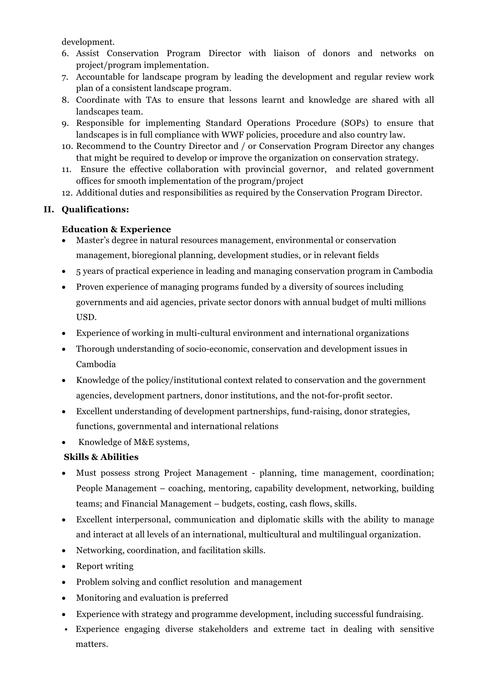development.

- 6. Assist Conservation Program Director with liaison of donors and networks on project/program implementation.
- 7. Accountable for landscape program by leading the development and regular review work plan of a consistent landscape program.
- 8. Coordinate with TAs to ensure that lessons learnt and knowledge are shared with all landscapes team.
- 9. Responsible for implementing Standard Operations Procedure (SOPs) to ensure that landscapes is in full compliance with WWF policies, procedure and also country law.
- 10. Recommend to the Country Director and / or Conservation Program Director any changes that might be required to develop or improve the organization on conservation strategy.
- 11. Ensure the effective collaboration with provincial governor, and related government offices for smooth implementation of the program/project
- 12. Additional duties and responsibilities as required by the Conservation Program Director.

## **II. Qualifications:**

### **Education & Experience**

- Master's degree in natural resources management, environmental or conservation management, bioregional planning, development studies, or in relevant fields
- 5 years of practical experience in leading and managing conservation program in Cambodia
- Proven experience of managing programs funded by a diversity of sources including governments and aid agencies, private sector donors with annual budget of multi millions USD.
- Experience of working in multi-cultural environment and international organizations
- Thorough understanding of socio-economic, conservation and development issues in Cambodia
- Knowledge of the policy/institutional context related to conservation and the government agencies, development partners, donor institutions, and the not-for-profit sector.
- Excellent understanding of development partnerships, fund-raising, donor strategies, functions, governmental and international relations
- Knowledge of M&E systems,

# **Skills & Abilities**

- Must possess strong Project Management planning, time management, coordination; People Management – coaching, mentoring, capability development, networking, building teams; and Financial Management – budgets, costing, cash flows, skills.
- Excellent interpersonal, communication and diplomatic skills with the ability to manage and interact at all levels of an international, multicultural and multilingual organization.
- Networking, coordination, and facilitation skills.
- Report writing
- Problem solving and conflict resolution and management
- Monitoring and evaluation is preferred
- Experience with strategy and programme development, including successful fundraising.
- Experience engaging diverse stakeholders and extreme tact in dealing with sensitive matters.